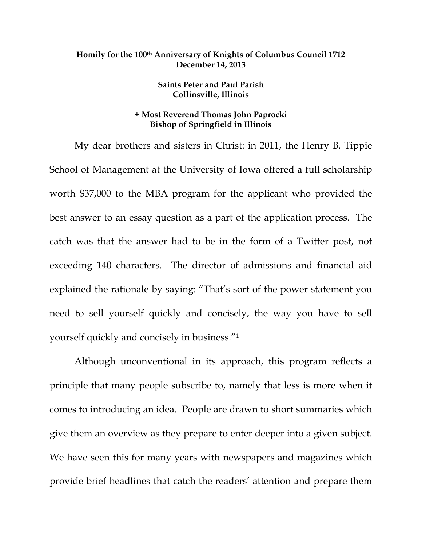## **Homily for the 100th Anniversary of Knights of Columbus Council 1712 December 14, 2013**

## **Saints Peter and Paul Parish Collinsville, Illinois**

## **+ Most Reverend Thomas John Paprocki Bishop of Springfield in Illinois**

My dear brothers and sisters in Christ: in 2011, the Henry B. Tippie School of Management at the University of Iowa offered a full scholarship worth \$37,000 to the MBA program for the applicant who provided the best answer to an essay question as a part of the application process. The catch was that the answer had to be in the form of a Twitter post, not exceeding 140 characters. The director of admissions and financial aid explained the rationale by saying: "That's sort of the power statement you need to sell yourself quickly and concisely, the way you have to sell yourself quickly and concisely in business."1

Although unconventional in its approach, this program reflects a principle that many people subscribe to, namely that less is more when it comes to introducing an idea. People are drawn to short summaries which give them an overview as they prepare to enter deeper into a given subject. We have seen this for many years with newspapers and magazines which provide brief headlines that catch the readers' attention and prepare them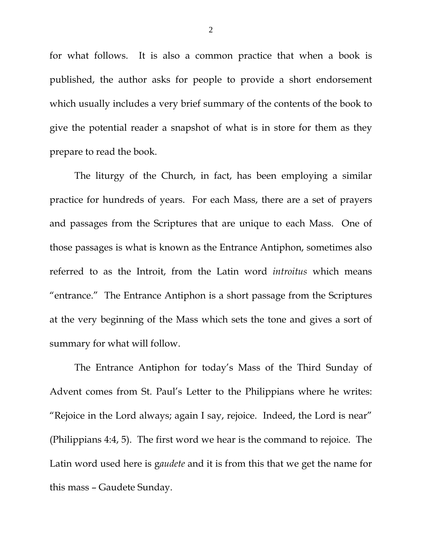for what follows. It is also a common practice that when a book is published, the author asks for people to provide a short endorsement which usually includes a very brief summary of the contents of the book to give the potential reader a snapshot of what is in store for them as they prepare to read the book.

The liturgy of the Church, in fact, has been employing a similar practice for hundreds of years. For each Mass, there are a set of prayers and passages from the Scriptures that are unique to each Mass. One of those passages is what is known as the Entrance Antiphon, sometimes also referred to as the Introit, from the Latin word *introitus* which means "entrance." The Entrance Antiphon is a short passage from the Scriptures at the very beginning of the Mass which sets the tone and gives a sort of summary for what will follow.

The Entrance Antiphon for today's Mass of the Third Sunday of Advent comes from St. Paul's Letter to the Philippians where he writes: "Rejoice in the Lord always; again I say, rejoice. Indeed, the Lord is near" (Philippians 4:4, 5). The first word we hear is the command to rejoice. The Latin word used here is g*audete* and it is from this that we get the name for this mass – Gaudete Sunday.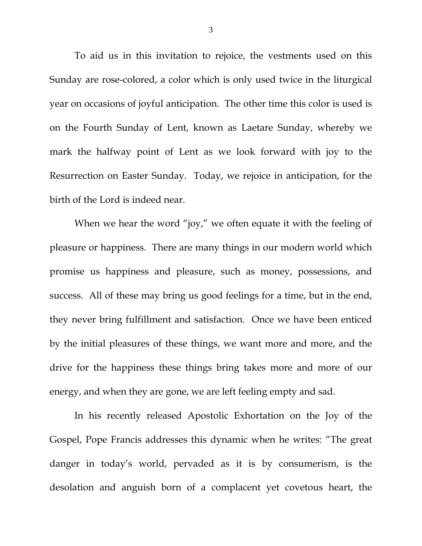To aid us in this invitation to rejoice, the vestments used on this Sunday are rose-colored, a color which is only used twice in the liturgical year on occasions of joyful anticipation. The other time this color is used is on the Fourth Sunday of Lent, known as Laetare Sunday, whereby we mark the halfway point of Lent as we look forward with joy to the Resurrection on Easter Sunday. Today, we rejoice in anticipation, for the birth of the Lord is indeed near.

When we hear the word "joy," we often equate it with the feeling of pleasure or happiness. There are many things in our modern world which promise us happiness and pleasure, such as money, possessions, and success. All of these may bring us good feelings for a time, but in the end, they never bring fulfillment and satisfaction. Once we have been enticed by the initial pleasures of these things, we want more and more, and the drive for the happiness these things bring takes more and more of our energy, and when they are gone, we are left feeling empty and sad.

In his recently released Apostolic Exhortation on the Joy of the Gospel, Pope Francis addresses this dynamic when he writes: "The great danger in today's world, pervaded as it is by consumerism, is the desolation and anguish born of a complacent yet covetous heart, the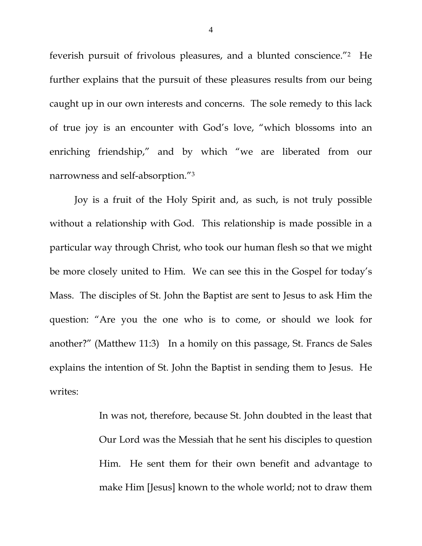feverish pursuit of frivolous pleasures, and a blunted conscience."2 He further explains that the pursuit of these pleasures results from our being caught up in our own interests and concerns. The sole remedy to this lack of true joy is an encounter with God's love, "which blossoms into an enriching friendship," and by which "we are liberated from our narrowness and self-absorption."3

Joy is a fruit of the Holy Spirit and, as such, is not truly possible without a relationship with God. This relationship is made possible in a particular way through Christ, who took our human flesh so that we might be more closely united to Him. We can see this in the Gospel for today's Mass. The disciples of St. John the Baptist are sent to Jesus to ask Him the question: "Are you the one who is to come, or should we look for another?" (Matthew 11:3) In a homily on this passage, St. Francs de Sales explains the intention of St. John the Baptist in sending them to Jesus. He writes:

> In was not, therefore, because St. John doubted in the least that Our Lord was the Messiah that he sent his disciples to question Him. He sent them for their own benefit and advantage to make Him [Jesus] known to the whole world; not to draw them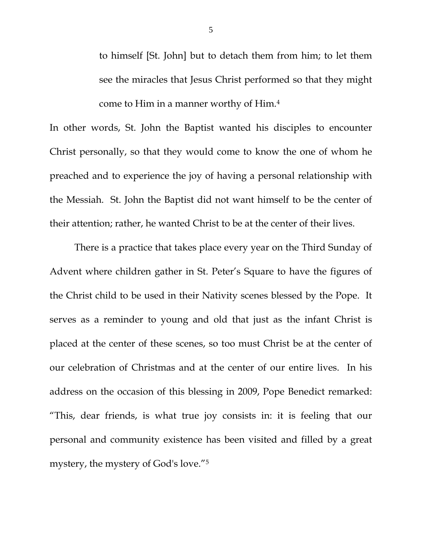to himself [St. John] but to detach them from him; to let them see the miracles that Jesus Christ performed so that they might come to Him in a manner worthy of Him.4

In other words, St. John the Baptist wanted his disciples to encounter Christ personally, so that they would come to know the one of whom he preached and to experience the joy of having a personal relationship with the Messiah. St. John the Baptist did not want himself to be the center of their attention; rather, he wanted Christ to be at the center of their lives.

 There is a practice that takes place every year on the Third Sunday of Advent where children gather in St. Peter's Square to have the figures of the Christ child to be used in their Nativity scenes blessed by the Pope. It serves as a reminder to young and old that just as the infant Christ is placed at the center of these scenes, so too must Christ be at the center of our celebration of Christmas and at the center of our entire lives. In his address on the occasion of this blessing in 2009, Pope Benedict remarked: "This, dear friends, is what true joy consists in: it is feeling that our personal and community existence has been visited and filled by a great mystery, the mystery of God's love."5

5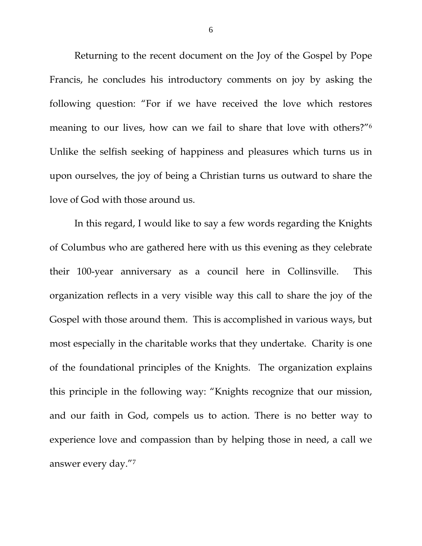Returning to the recent document on the Joy of the Gospel by Pope Francis, he concludes his introductory comments on joy by asking the following question: "For if we have received the love which restores meaning to our lives, how can we fail to share that love with others?"6 Unlike the selfish seeking of happiness and pleasures which turns us in upon ourselves, the joy of being a Christian turns us outward to share the love of God with those around us.

 In this regard, I would like to say a few words regarding the Knights of Columbus who are gathered here with us this evening as they celebrate their 100-year anniversary as a council here in Collinsville. This organization reflects in a very visible way this call to share the joy of the Gospel with those around them. This is accomplished in various ways, but most especially in the charitable works that they undertake. Charity is one of the foundational principles of the Knights. The organization explains this principle in the following way: "Knights recognize that our mission, and our faith in God, compels us to action. There is no better way to experience love and compassion than by helping those in need, a call we answer every day."7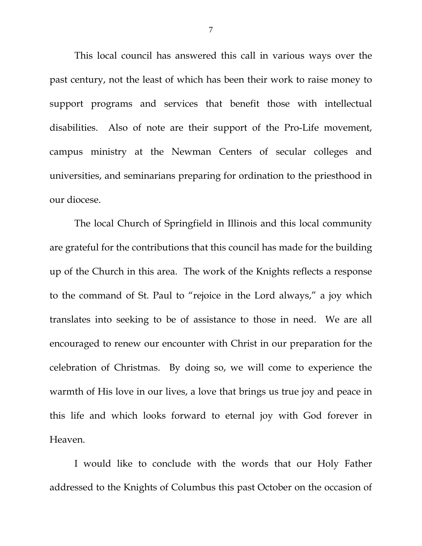This local council has answered this call in various ways over the past century, not the least of which has been their work to raise money to support programs and services that benefit those with intellectual disabilities. Also of note are their support of the Pro-Life movement, campus ministry at the Newman Centers of secular colleges and universities, and seminarians preparing for ordination to the priesthood in our diocese.

 The local Church of Springfield in Illinois and this local community are grateful for the contributions that this council has made for the building up of the Church in this area. The work of the Knights reflects a response to the command of St. Paul to "rejoice in the Lord always," a joy which translates into seeking to be of assistance to those in need. We are all encouraged to renew our encounter with Christ in our preparation for the celebration of Christmas. By doing so, we will come to experience the warmth of His love in our lives, a love that brings us true joy and peace in this life and which looks forward to eternal joy with God forever in Heaven.

I would like to conclude with the words that our Holy Father addressed to the Knights of Columbus this past October on the occasion of

7